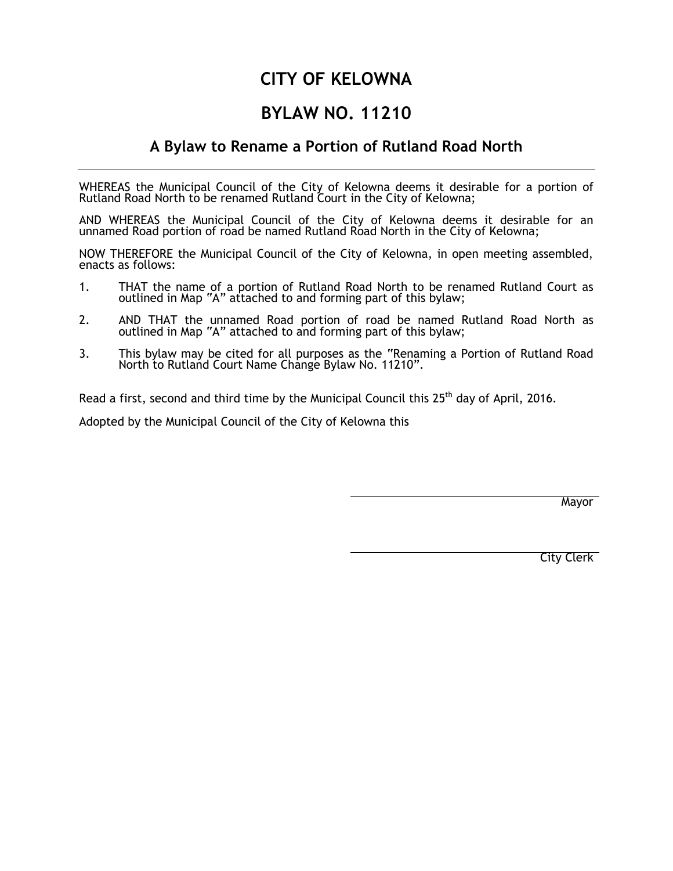## **CITY OF KELOWNA**

## **BYLAW NO. 11210**

## **A Bylaw to Rename a Portion of Rutland Road North**

WHEREAS the Municipal Council of the City of Kelowna deems it desirable for a portion of Rutland Road North to be renamed Rutland Court in the City of Kelowna;

AND WHEREAS the Municipal Council of the City of Kelowna deems it desirable for an unnamed Road portion of road be named Rutland Road North in the City of Kelowna;

NOW THEREFORE the Municipal Council of the City of Kelowna, in open meeting assembled, enacts as follows:

- 1. THAT the name of a portion of Rutland Road North to be renamed Rutland Court as outlined in Map "A" attached to and forming part of this bylaw;
- 2. AND THAT the unnamed Road portion of road be named Rutland Road North as outlined in Map "A" attached to and forming part of this bylaw;
- 3. This bylaw may be cited for all purposes as the "Renaming a Portion of Rutland Road North to Rutland Court Name Change Bylaw No. 11210".

Read a first, second and third time by the Municipal Council this 25<sup>th</sup> day of April, 2016.

Adopted by the Municipal Council of the City of Kelowna this

Mayor

City Clerk